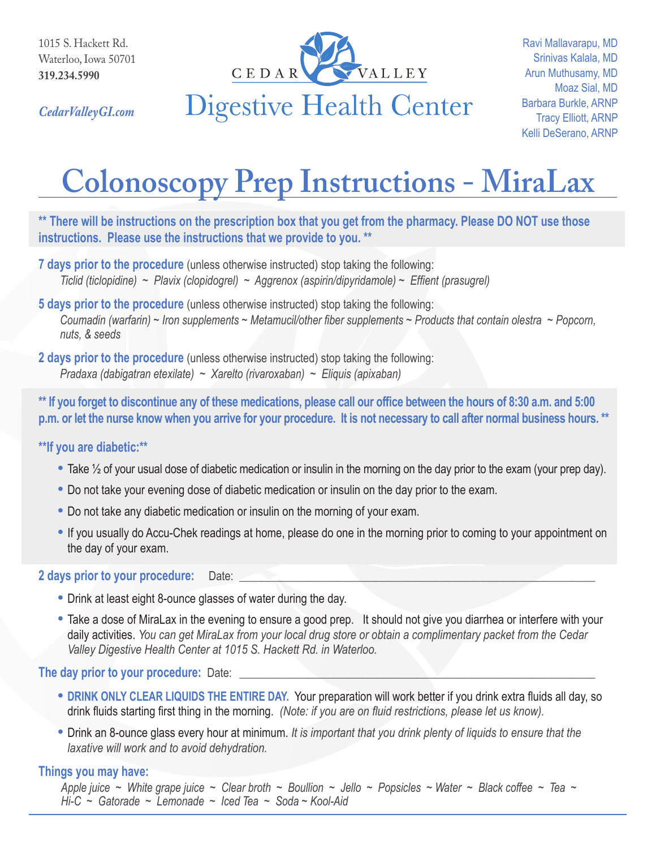

Ravi Mallavarapu, MD Srinivas Kalala, MD Arun Muthusamy, MD Moaz Sial, MD Barbara Burkle, ARNP Tracy Elliott, ARNP Kelli DeSerano, ARNP

*CedarValleyGI.com*

# **Colonoscopy Prep Instructions - MiraLax**

**\*\* There will be instructions on the prescription box that you get from the pharmacy. Please DO NOT use those instructions. Please use the instructions that we provide to you. \*\***

- **7 days prior to the procedure** (unless otherwise instructed) stop taking the following: *Ticlid (ticlopidine) ~ Plavix (clopidogrel) ~ Aggrenox (aspirin/dipyridamole) ~ Effient (prasugrel)*
- **5 days prior to the procedure** (unless otherwise instructed) stop taking the following: *Coumadin (warfarin) ~ Iron supplements ~ Metamucil/other fiber supplements ~ Products that contain olestra ~ Popcorn, nuts, & seeds*
- **2 days prior to the procedure** (unless otherwise instructed) stop taking the following: *Pradaxa (dabigatran etexilate) ~ Xarelto (rivaroxaban) ~ Eliquis (apixaban)*

**\*\* If you forget to discontinue any of these medications, please call our office between the hours of 8:30 a.m. and 5:00 p.m. or let the nurse know when you arrive for your procedure. It is not necessary to call after normal business hours. \*\***

# **\*\*If you are diabetic:\*\***

- **•** Take ½ of your usual dose of diabetic medication or insulin in the morning on the day prior to the exam (your prep day).
- **•** Do not take your evening dose of diabetic medication or insulin on the day prior to the exam.
- **•** Do not take any diabetic medication or insulin on the morning of your exam.
- **•** If you usually do Accu-Chek readings at home, please do one in the morning prior to coming to your appointment on the day of your exam.

## 2 days prior to your procedure: Date:

- **•** Drink at least eight 8-ounce glasses of water during the day.
- **•** Take a dose of MiraLax in the evening to ensure a good prep. It should not give you diarrhea or interfere with your daily activities. *You can get MiraLax from your local drug store or obtain a complimentary packet from the Cedar Valley Digestive Health Center at 1015 S. Hackett Rd. in Waterloo.*

# **The day prior to your procedure:** Date:

- **• DRINK ONLY CLEAR LIQUIDS THE ENTIRE DAY.** Your preparation will work better if you drink extra fluids all day, so drink fluids starting first thing in the morning. *(Note: if you are on fluid restrictions, please let us know).*
- **•** Drink an 8-ounce glass every hour at minimum. *It is important that you drink plenty of liquids to ensure that the laxative will work and to avoid dehydration.*

# **Things you may have:**

*Apple juice ~ White grape juice ~ Clear broth ~ Boullion ~ Jello ~ Popsicles ~ Water ~ Black coffee ~ Tea ~ Hi-C ~ Gatorade ~ Lemonade ~ Iced Tea ~ Soda ~ Kool-Aid*